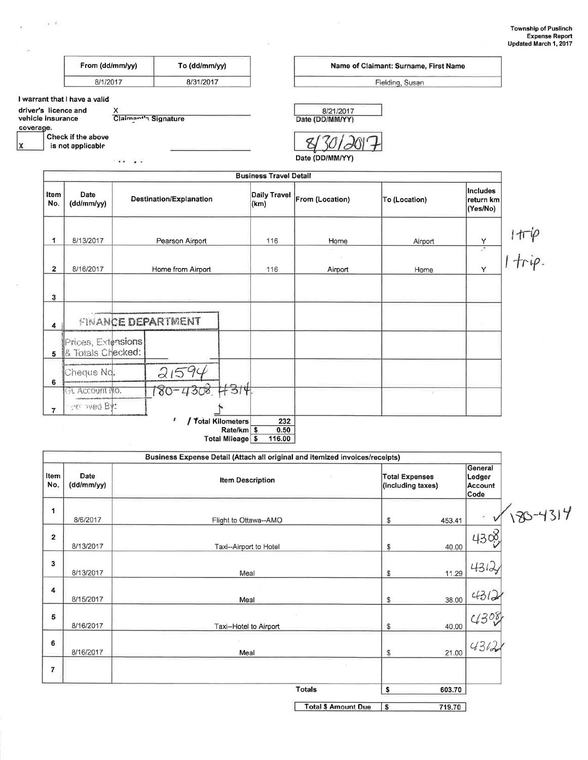|                                | From (dd/mm/yy)                                       |                           | To (dd/mm/yy)            |                                |                               |                                                                              | Name of Claimant: Surname, First Name      |                                                 |
|--------------------------------|-------------------------------------------------------|---------------------------|--------------------------|--------------------------------|-------------------------------|------------------------------------------------------------------------------|--------------------------------------------|-------------------------------------------------|
|                                | 8/1/2017                                              |                           | 8/31/2017                |                                |                               |                                                                              | Fielding, Susan                            |                                                 |
| vehicle insurance<br>coverage. | I warrant that I have a valid<br>driver's licence and | X<br>Claimant's Signature |                          |                                |                               | 8/21/2017<br>Date (DD/MM/YY)                                                 |                                            |                                                 |
|                                | Check if the above<br>is not applicable               | $\cdots$<br>$\cdot$       |                          |                                |                               | Date (DD/MM/YY)                                                              |                                            |                                                 |
|                                |                                                       |                           |                          |                                | <b>Business Travel Detail</b> |                                                                              |                                            |                                                 |
| Item<br>No.                    | Date<br>(dd/mm/yy)                                    |                           | Destination/Explanation  |                                | <b>Daily Travel</b><br>(km)   | From (Location)                                                              | To (Location)                              | <b>Includes</b><br>return km<br>(Yes/No)        |
| 1                              | 8/13/2017                                             |                           | Pearson Airport          |                                | 116                           | Home                                                                         | Airport                                    |                                                 |
| $\mathbf{2}$                   | 8/16/2017                                             |                           | Home from Airport        |                                | 116                           | Airport                                                                      | Home                                       | 1π <sup>.</sup> ίρ<br>   <del>1</del> πίρ.<br>Y |
| 3                              |                                                       |                           |                          |                                |                               |                                                                              |                                            |                                                 |
| $\ddot{\phantom{a}}$           |                                                       |                           | FINANCE DEPARTMENT       |                                |                               |                                                                              |                                            |                                                 |
|                                | Prices, Extensions<br>5 & Totals Checked:             |                           |                          |                                |                               |                                                                              |                                            |                                                 |
| 6                              | Cheque Nd<br>St. Account No.                          |                           | 2159c                    | 314                            |                               |                                                                              |                                            |                                                 |
| $\overline{7}$                 | polliwed By:                                          |                           | Ŧ.<br>/ Total Kilometers |                                | 232                           |                                                                              |                                            |                                                 |
|                                |                                                       |                           |                          | Rate/km \$<br>Total Mileage \$ | 0.50<br>116.00                |                                                                              |                                            |                                                 |
|                                |                                                       |                           |                          |                                |                               | Business Expense Detail (Attach all original and itemized invoices/receipts) |                                            |                                                 |
| Item<br>No.                    | Date<br>(dd/mm/yy)                                    |                           |                          | <b>Item Description</b>        |                               |                                                                              | <b>Total Expenses</b><br>(including taxes) | General<br>Ledger<br><b>Account</b><br>Code     |
| 1                              | 8/6/2017                                              |                           |                          |                                | Flight to Ottawa--AMO         |                                                                              | 453.41<br>\$                               |                                                 |

 $\mathcal{N}$ 

 $\epsilon$  . <br> <br> :  $\label{eq:2.1} \nu\colon\bar{\mathcal{C}}.$ 

ù.

 $\bar{\rm s}$ 

|                         |           | <b>Total \$ Amount Due</b>   | s  | 719.70 |         |
|-------------------------|-----------|------------------------------|----|--------|---------|
|                         |           | <b>Totals</b>                | \$ | 603.70 |         |
|                         |           | ng.                          |    |        |         |
| 6                       | 8/16/2017 | ٠<br>Meal                    | \$ | 21.00  | 4312    |
| 5                       | 8/16/2017 | ×<br>Taxi-Hotel to Airport   | \$ | 40.00  | 4308    |
| 4                       | 8/15/2017 | Meal                         | S  | 38.00  | $431 -$ |
| 3                       | 8/13/2017 | Meal                         | S  | 11.29  | 4312    |
| $\overline{\mathbf{2}}$ | 8/13/2017 | Taxi--Airport to Hotel       | \$ | 40.00  | 4308    |
|                         | UUUZUII   | <b>Fight to Ottawa-Alvio</b> | Ψ  | 400.41 |         |

Total \$ Amount Due \$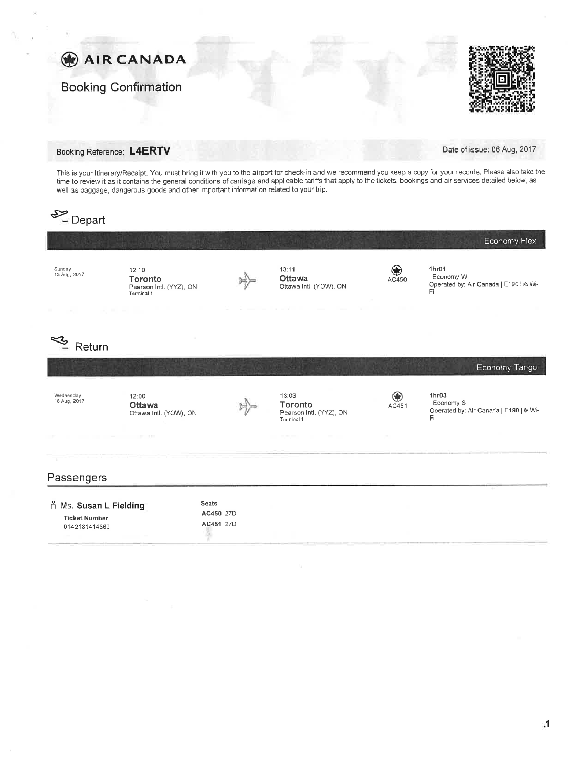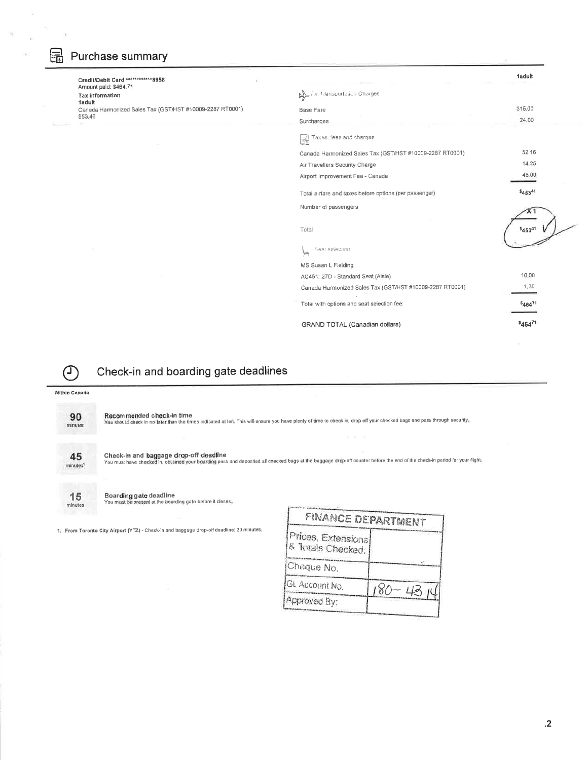# Purchase summary

ū

| Credit/Debit Card ***********8958                         |                                                          | <b>1adult</b>           |
|-----------------------------------------------------------|----------------------------------------------------------|-------------------------|
| Amount paid: \$464.71<br><b>Tax information</b><br>1adult | Aut Transportation Charges                               |                         |
| Canada Harmonized Sales Tax (GST/HST #10009-2287 RT0001)  | <b>Base Fare</b>                                         | 315.00                  |
| \$53.46                                                   | Surcharges                                               | 24.00                   |
|                                                           | F<br>Taxes fees and charges                              |                         |
|                                                           | Canada Harmonized Sales Tax (GST/HST #10009-2287 RT0001) | 52,16                   |
|                                                           | Air Travellers Security Charge                           | 14.25                   |
|                                                           | Airport Improvement Fee - Canada                         | 48.00                   |
|                                                           | Total airfare and taxes before options (per passenger)   | \$45341                 |
|                                                           | Number of passengers                                     |                         |
|                                                           | Total                                                    | \$45341                 |
|                                                           | Seat selection<br>⋟                                      |                         |
|                                                           | MS Susan L Fielding                                      |                         |
|                                                           | AC451: 27D - Standard Seat (Aisle)                       | 10.00                   |
|                                                           | Canada Harmonized Sales Tax (GST/HST #10009-2287 RT0001) | 1,30                    |
|                                                           | Total with options and seat selection fee:               | $S_{464}$ <sup>71</sup> |
|                                                           | GRAND TOTAL (Canadian dollars)                           | \$46471                 |
|                                                           |                                                          |                         |

 $\mathbb{C}$ 

### Check-in and boarding gate deadlines

#### Within Canada

90 minutes

Recommended check-in time<br>You should check in no later than the times indicated at left. This will ensure you have plenty of time to check in, drop off your checked bags and pass through security.

present communication



 $minutes$ 

Check-in and baggage drop-off deadline<br>You must have checked in, obtained your bearding pass and deposited all checked bags at the baggage drop-off counter before the end of the check-in period for your flight.

Boarding gate deadline<br>You must be present at the boarding gate before it closes.

1. From Toronto City Airport (YTZ) - Check-in and baggage drop-off deadline: 20 minutes,

| <b>FINANCE DEPARTMENT</b>               |      |
|-----------------------------------------|------|
| Prices, Extensions<br>& Totals Checked: |      |
| Cheque No.                              |      |
| GL Account No.                          | 4314 |
| Approved By:                            |      |